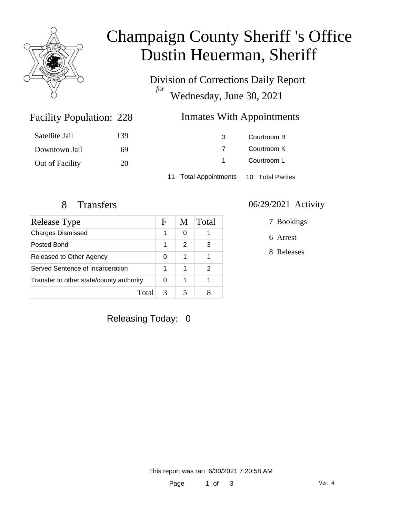

# Champaign County Sheriff 's Office Dustin Heuerman, Sheriff

Division of Corrections Daily Report *for* Wednesday, June 30, 2021

#### Inmates With Appointments

| Satellite Jail  | 139 | 3                                      | Courtroom B |  |
|-----------------|-----|----------------------------------------|-------------|--|
| Downtown Jail   | 69  |                                        | Courtroom K |  |
| Out of Facility | 20  | 1                                      | Courtroom L |  |
|                 |     | 11 Total Appointments 10 Total Parties |             |  |

Facility Population: 228

| <b>Release Type</b>                      | F | M             | Total |
|------------------------------------------|---|---------------|-------|
| <b>Charges Dismissed</b>                 | 1 | 0             |       |
| Posted Bond                              | 1 | $\mathcal{P}$ | 3     |
| Released to Other Agency                 | 0 | 1             |       |
| Served Sentence of Incarceration         |   | 1             | 2     |
| Transfer to other state/county authority |   | 1             |       |
| Total                                    |   |               |       |

#### 8 Transfers 06/29/2021 Activity

7 Bookings

6 Arrest

8 Releases

Releasing Today: 0

This report was ran 6/30/2021 7:20:58 AM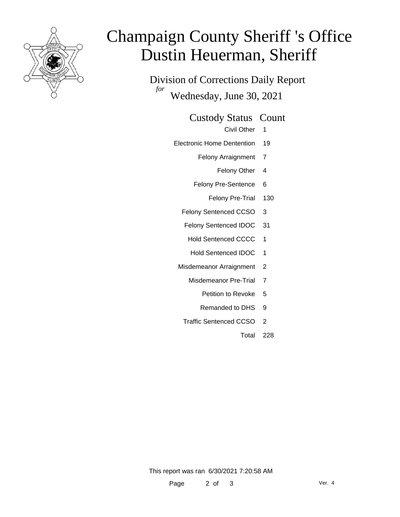

# Champaign County Sheriff 's Office Dustin Heuerman, Sheriff

Division of Corrections Daily Report *for* Wednesday, June 30, 2021

Custody Status Count

Civil Other 1

- Electronic Home Dentention 19
	- Felony Arraignment 7
		- Felony Other 4
	- Felony Pre-Sentence 6
		- Felony Pre-Trial 130
	- Felony Sentenced CCSO 3
	- Felony Sentenced IDOC 31
		- Hold Sentenced CCCC 1
		- Hold Sentenced IDOC 1
	- Misdemeanor Arraignment 2
		- Misdemeanor Pre-Trial 7
			- Petition to Revoke 5
			- Remanded to DHS 9
		- Traffic Sentenced CCSO 2
			- Total 228

This report was ran 6/30/2021 7:20:58 AM